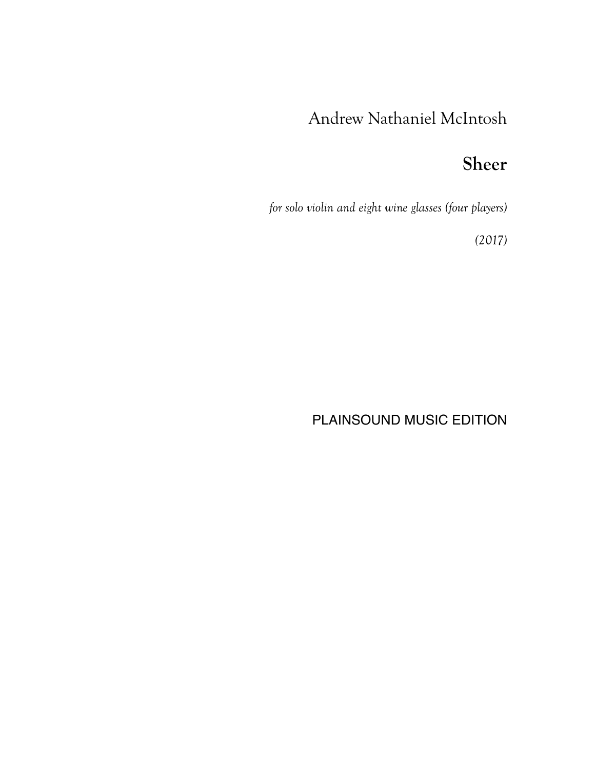## Andrew Nathaniel McIntosh

## **Sheer**

*for solo violin and eight wine glasses (four players)*

*(2017)*

PLAINSOUND MUSIC EDITION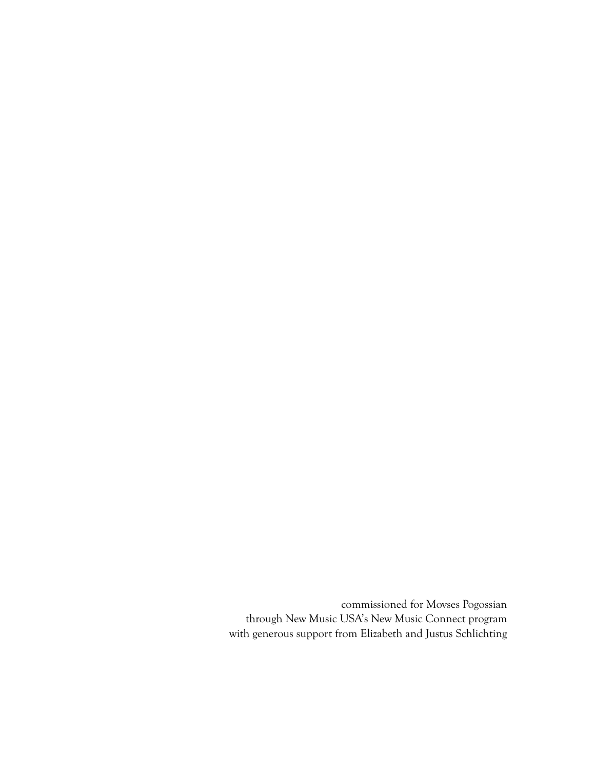commissioned for Movses Pogossian through New Music USA's New Music Connect program with generous support from Elizabeth and Justus Schlichting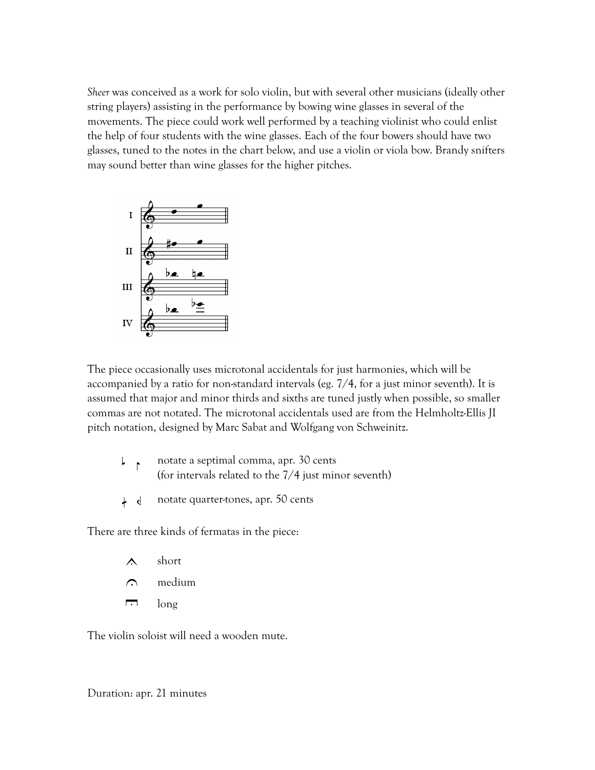*Sheer* was conceived as a work for solo violin, but with several other musicians (ideally other string players) assisting in the performance by bowing wine glasses in several of the movements. The piece could work well performed by a teaching violinist who could enlist the help of four students with the wine glasses. Each of the four bowers should have two glasses, tuned to the notes in the chart below, and use a violin or viola bow. Brandy snifters may sound better than wine glasses for the higher pitches.



The piece occasionally uses microtonal accidentals for just harmonies, which will be accompanied by a ratio for non-standard intervals (eg. 7/4, for a just minor seventh). It is assumed that major and minor thirds and sixths are tuned justly when possible, so smaller commas are not notated. The microtonal accidentals used are from the Helmholtz-Ellis JI pitch notation, designed by Marc Sabat and Wolfgang von Schweinitz.

| notate a septimal comma, apr. 30 cents                  |
|---------------------------------------------------------|
| (for intervals related to the $7/4$ just minor seventh) |

4 5 notate quarter-tones, apr. 50 cents

There are three kinds of fermatas in the piece:

- short ∧
- $\Omega$ medium
- $\Box$   $\log$

The violin soloist will need a wooden mute.

Duration: apr. 21 minutes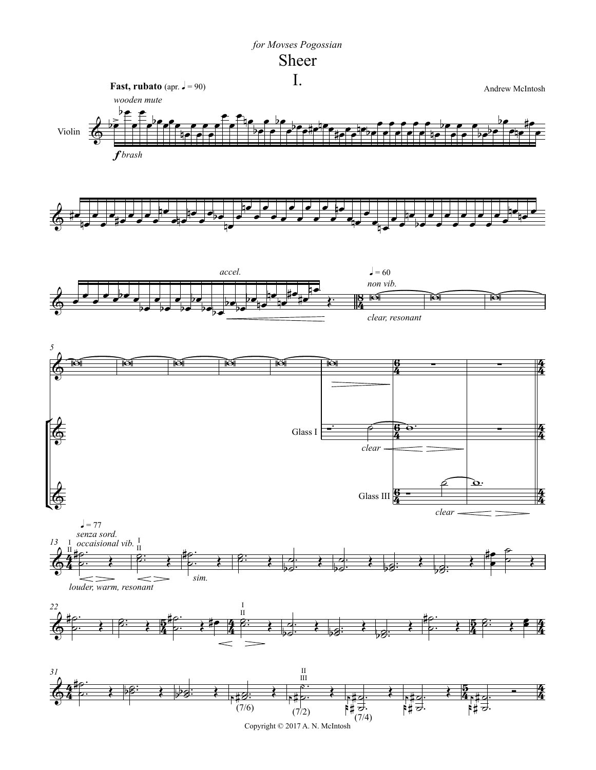## *for Movses Pogossian* SheerI.

Violin  $\overline{A}$ 

#œ

 $\overrightarrow{e}$ 

**Fast, rubato** (apr.  $= 90$ ) **Andrew** Andrew

Andrew McIntosh

 $\frac{1}{2}$  $b$ e #e $$ ene energie en de la provincia de la provincia de la provincia de la provincia de la provincia de la provincia<br>En la provincia de la provincia de la provincia de la provincia de la provincia de la provincia de la provinci  $\bullet$ œ

 $\overline{\phantom{a}}$  $\frac{1}{2}$  $\frac{1}{\sqrt{2}}$  $\frac{1}{2}$  $\overline{\phantom{a}}$ œ





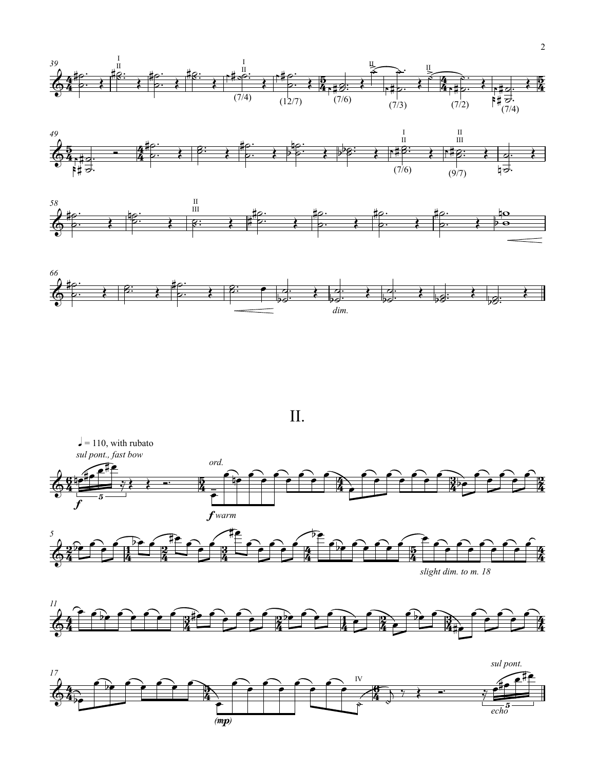







II.

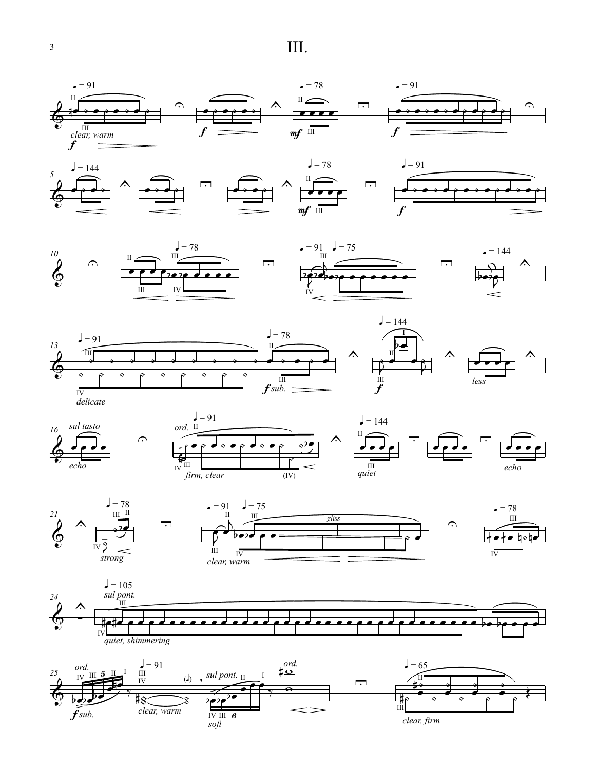III.









*delicate*







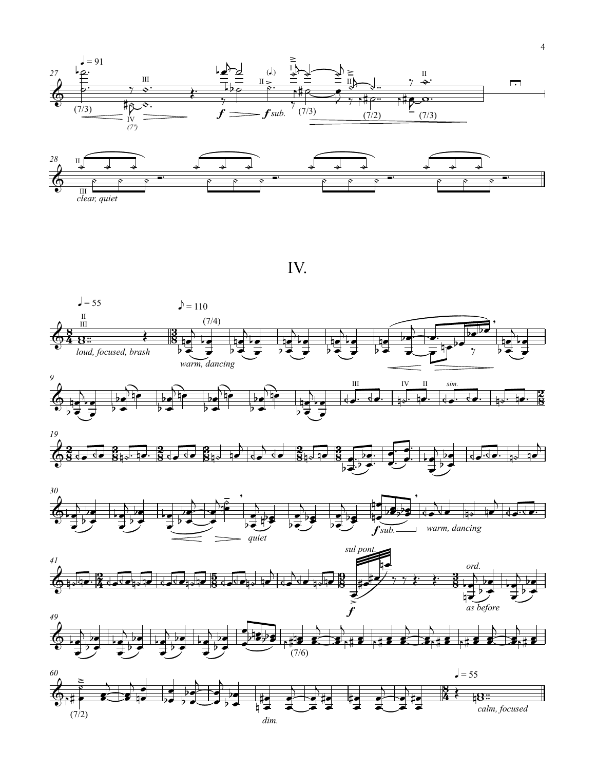



IV.



 $dim.$ 

 $(7/2)$ 

 $cal$  calm, focused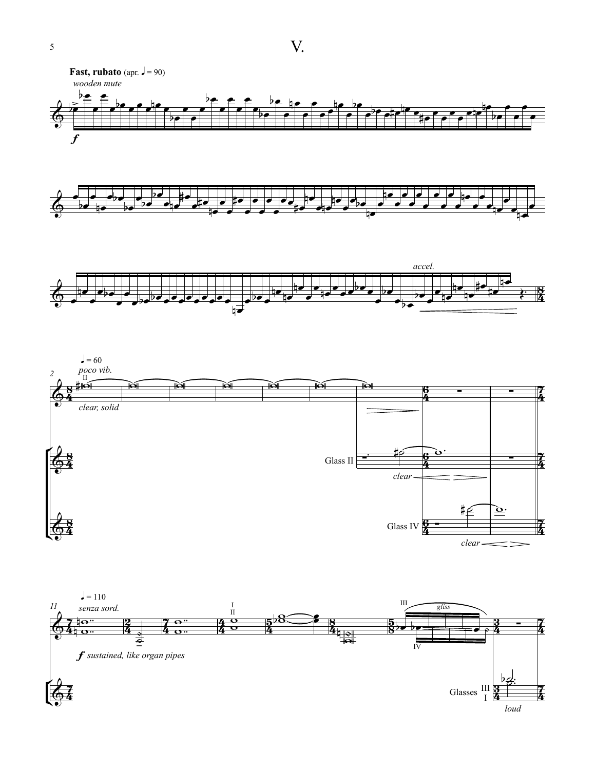V.

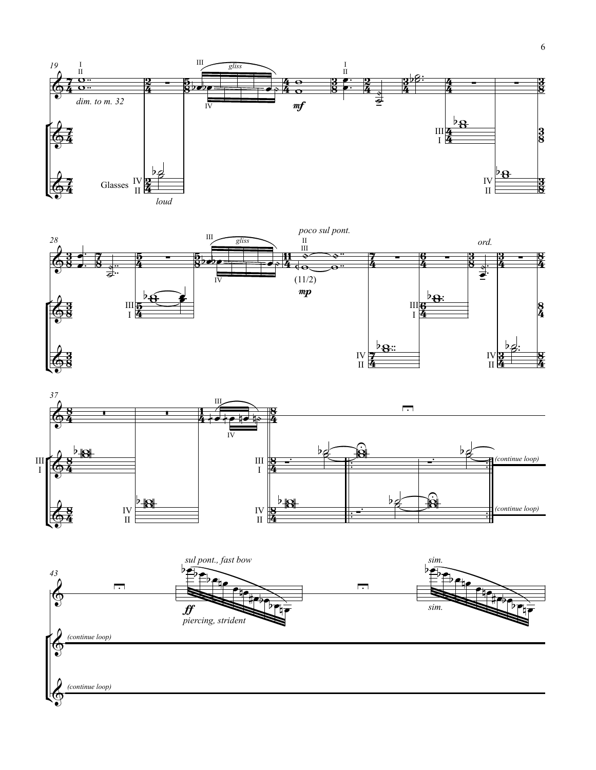





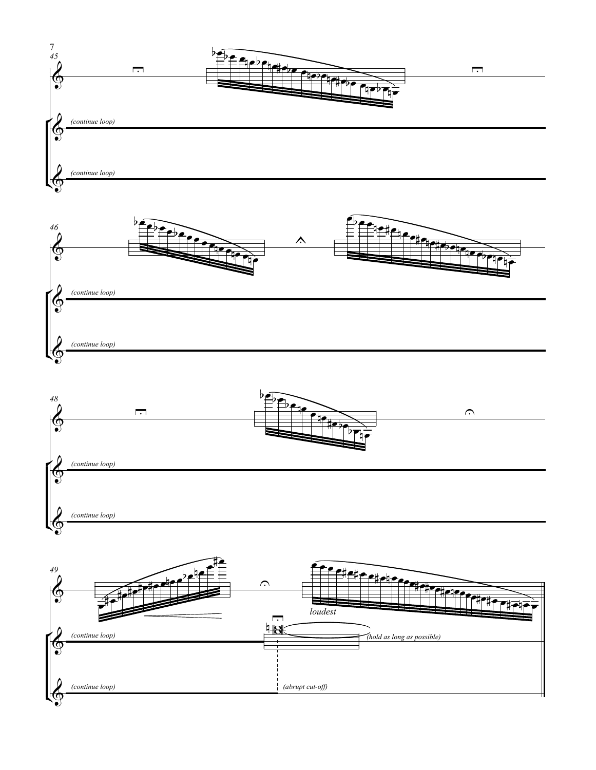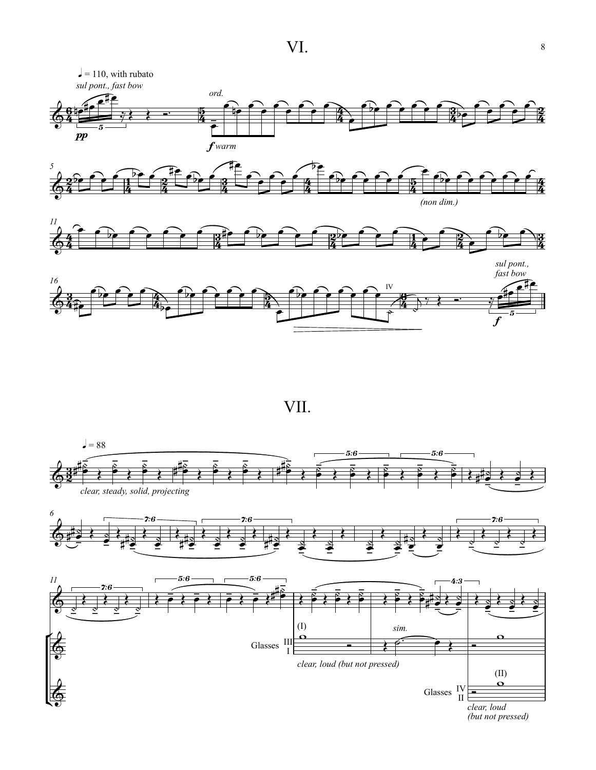VI.



VII.

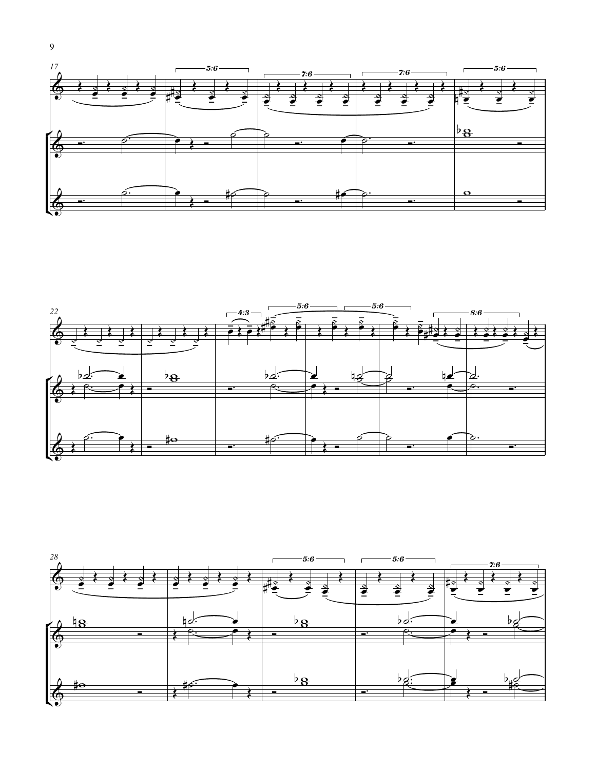



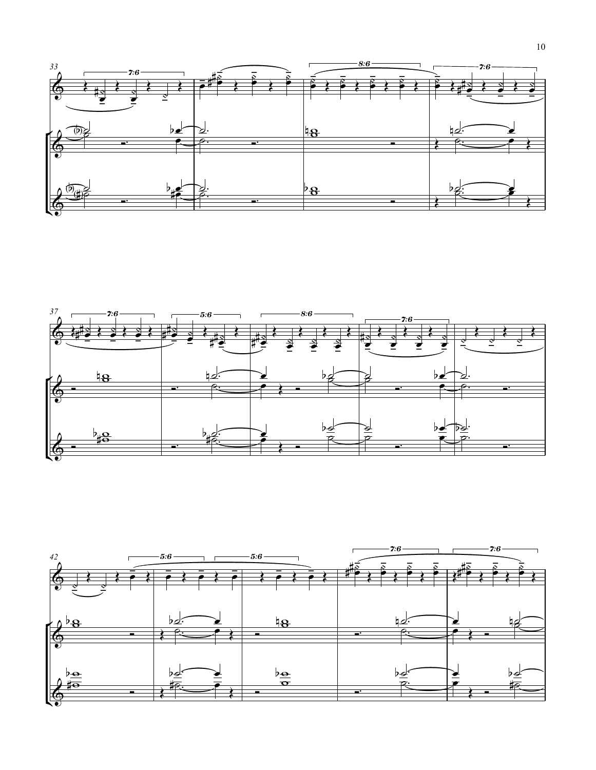